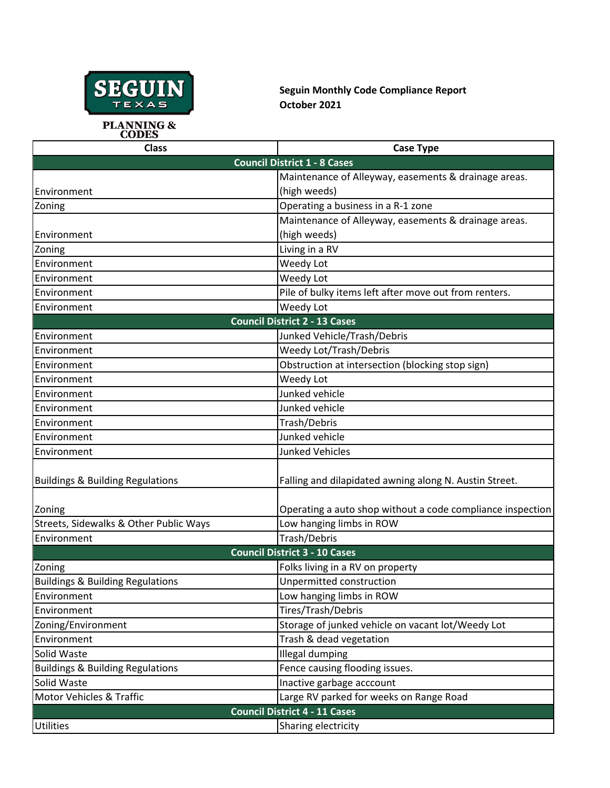

**Seguin Monthly Code Compliance Report October 2021**

**PLANNING &<br>CODES** 

| <b>Class</b>                                | <b>Case Type</b>                                           |  |
|---------------------------------------------|------------------------------------------------------------|--|
|                                             | <b>Council District 1 - 8 Cases</b>                        |  |
|                                             | Maintenance of Alleyway, easements & drainage areas.       |  |
| Environment                                 | (high weeds)                                               |  |
| Zoning                                      | Operating a business in a R-1 zone                         |  |
|                                             | Maintenance of Alleyway, easements & drainage areas.       |  |
| Environment                                 | (high weeds)                                               |  |
| Zoning                                      | Living in a RV                                             |  |
| Environment                                 | Weedy Lot                                                  |  |
| Environment                                 | Weedy Lot                                                  |  |
| Environment                                 | Pile of bulky items left after move out from renters.      |  |
| Environment                                 | Weedy Lot                                                  |  |
| <b>Council District 2 - 13 Cases</b>        |                                                            |  |
| Environment                                 | Junked Vehicle/Trash/Debris                                |  |
| Environment                                 | Weedy Lot/Trash/Debris                                     |  |
| Environment                                 | Obstruction at intersection (blocking stop sign)           |  |
| Environment                                 | Weedy Lot                                                  |  |
| Environment                                 | Junked vehicle                                             |  |
| Environment                                 | Junked vehicle                                             |  |
| Environment                                 | Trash/Debris                                               |  |
| Environment                                 | Junked vehicle                                             |  |
| Environment                                 | <b>Junked Vehicles</b>                                     |  |
| <b>Buildings &amp; Building Regulations</b> | Falling and dilapidated awning along N. Austin Street.     |  |
| Zoning                                      | Operating a auto shop without a code compliance inspection |  |
| Streets, Sidewalks & Other Public Ways      | Low hanging limbs in ROW                                   |  |
| Environment                                 | Trash/Debris                                               |  |
| <b>Council District 3 - 10 Cases</b>        |                                                            |  |
| Zoning                                      | Folks living in a RV on property                           |  |
| <b>Buildings &amp; Building Regulations</b> | Unpermitted construction                                   |  |
| Environment                                 | Low hanging limbs in ROW                                   |  |
| Environment                                 | Tires/Trash/Debris                                         |  |
| Zoning/Environment                          | Storage of junked vehicle on vacant lot/Weedy Lot          |  |
| Environment                                 | Trash & dead vegetation                                    |  |
| Solid Waste                                 | Illegal dumping                                            |  |
| <b>Buildings &amp; Building Regulations</b> | Fence causing flooding issues.                             |  |
| Solid Waste                                 | Inactive garbage acccount                                  |  |
| <b>Motor Vehicles &amp; Traffic</b>         | Large RV parked for weeks on Range Road                    |  |
| <b>Council District 4 - 11 Cases</b>        |                                                            |  |
| Utilities                                   | Sharing electricity                                        |  |